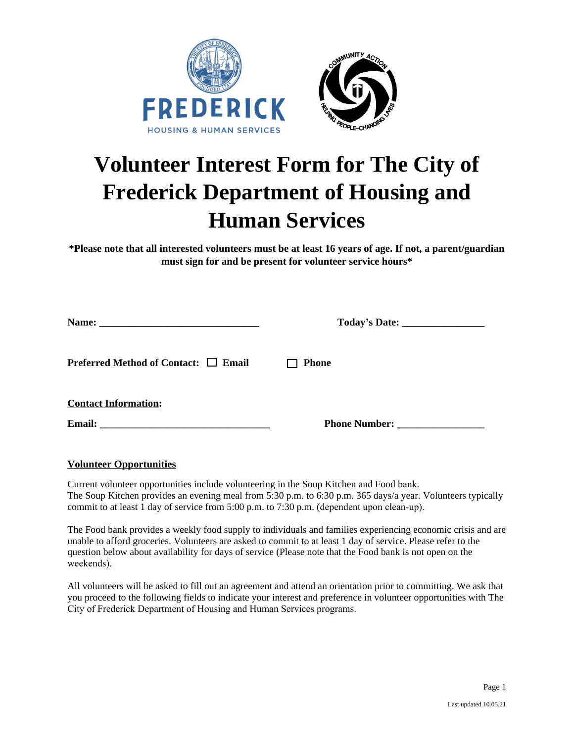



# **Volunteer Interest Form for The City of Frederick Department of Housing and Human Services**

**\*Please note that all interested volunteers must be at least 16 years of age. If not, a parent/guardian must sign for and be present for volunteer service hours\***

|                                                             | Today's Date: __________________ |  |  |  |
|-------------------------------------------------------------|----------------------------------|--|--|--|
| <b>Preferred Method of Contact: <math>\Box</math> Email</b> | $\Box$ Phone                     |  |  |  |
| <b>Contact Information:</b>                                 |                                  |  |  |  |
|                                                             | <b>Phone Number:</b>             |  |  |  |

## **Volunteer Opportunities**

Current volunteer opportunities include volunteering in the Soup Kitchen and Food bank. The Soup Kitchen provides an evening meal from 5:30 p.m. to 6:30 p.m. 365 days/a year. Volunteers typically commit to at least 1 day of service from 5:00 p.m. to 7:30 p.m. (dependent upon clean-up).

The Food bank provides a weekly food supply to individuals and families experiencing economic crisis and are unable to afford groceries. Volunteers are asked to commit to at least 1 day of service. Please refer to the question below about availability for days of service (Please note that the Food bank is not open on the weekends).

All volunteers will be asked to fill out an agreement and attend an orientation prior to committing. We ask that you proceed to the following fields to indicate your interest and preference in volunteer opportunities with The City of Frederick Department of Housing and Human Services programs.